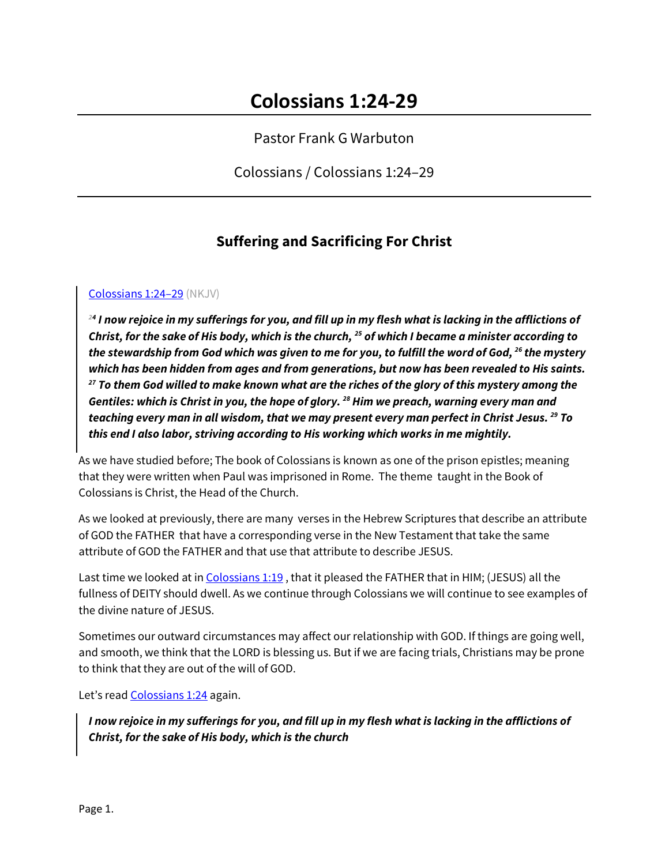Pastor Frank G Warbuton

Colossians / Colossians 1:24–29

# **Suffering and Sacrificing For Christ**

Colossians 1:24–29 (NKJV)

*<sup>24</sup> I now rejoice in my sufferings for you, and fill up in my flesh what is lacking in the afflictions of Christ, for the sake of His body, which is the church, 25 of which I became a minister according to the stewardship from God which was given to me for you, to fulfill the word of God, 26 the mystery which has been hidden from ages and from generations, but now has been revealed to His saints. <sup>27</sup> To them God willed to make known what are the riches of the glory of this mystery among the Gentiles: which is Christ in you, the hope of glory. 28 Him we preach, warning every man and teaching every man in all wisdom, that we may present every man perfect in Christ Jesus. 29 To this end I also labor, striving according to His working which works in me mightily.*

As we have studied before; The book of Colossians is known as one of the prison epistles; meaning that they were written when Paul was imprisoned in Rome. The theme taught in the Book of Colossians is Christ, the Head of the Church.

As we looked at previously, there are many verses in the Hebrew Scriptures that describe an attribute of GOD the FATHER that have a corresponding verse in the New Testament that take the same attribute of GOD the FATHER and that use that attribute to describe JESUS.

Last time we looked at in Colossians 1:19 , that it pleased the FATHER that in HIM; (JESUS) all the fullness of DEITY should dwell. As we continue through Colossians we will continue to see examples of the divine nature of JESUS.

Sometimes our outward circumstances may affect our relationship with GOD. If things are going well, and smooth, we think that the LORD is blessing us. But if we are facing trials, Christians may be prone to think that they are out of the will of GOD.

Let's read Colossians 1:24 again.

*I now rejoice in my sufferings for you, and fill up in my flesh what is lacking in the afflictions of Christ, for the sake of His body, which is the church*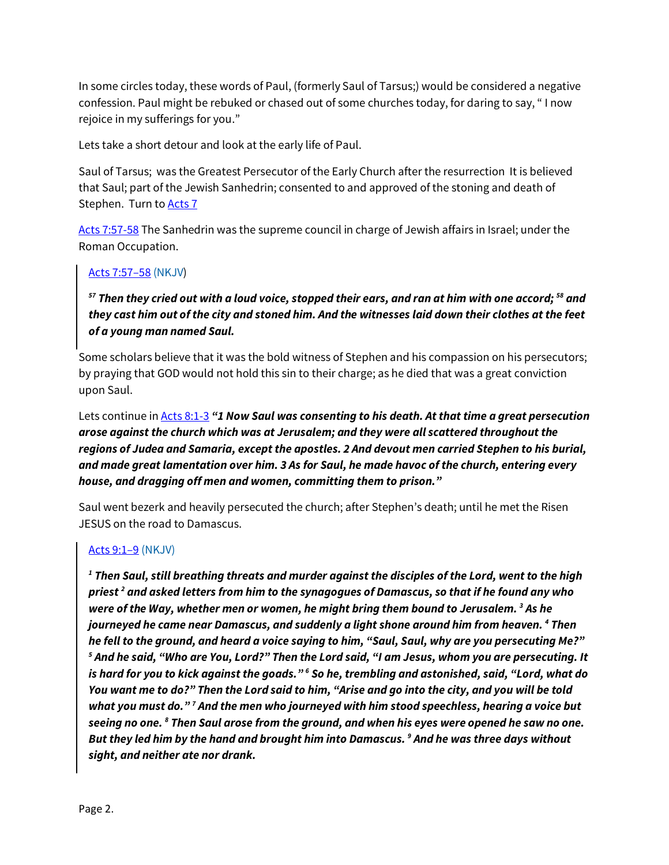In some circles today, these words of Paul, (formerly Saul of Tarsus;) would be considered a negative confession. Paul might be rebuked or chased out of some churches today, for daring to say, " I now rejoice in my sufferings for you."

Lets take a short detour and look at the early life of Paul.

Saul of Tarsus; was the Greatest Persecutor of the Early Church after the resurrection It is believed that Saul; part of the Jewish Sanhedrin; consented to and approved of the stoning and death of Stephen. Turn to **Acts 7** 

Acts 7:57-58 The Sanhedrin was the supreme council in charge of Jewish affairs in Israel; under the Roman Occupation.

## Acts 7:57–58 (NKJV)

*<sup>57</sup> Then they cried out with a loud voice, stopped their ears, and ran at him with one accord; 58 and they cast him out of the city and stoned him. And the witnesses laid down their clothes at the feet of a young man named Saul.*

Some scholars believe that it was the bold witness of Stephen and his compassion on his persecutors; by praying that GOD would not hold this sin to their charge; as he died that was a great conviction upon Saul.

Lets continue in Acts 8:1-3 *"1 Now Saul was consenting to his death. At that time a great persecution arose against the church which was at Jerusalem; and they were all scattered throughout the regions of Judea and Samaria, except the apostles. 2 And devout men carried Stephen to his burial, and made great lamentation over him. 3 As for Saul, he made havoc of the church, entering every house, and dragging off men and women, committing them to prison."* 

Saul went bezerk and heavily persecuted the church; after Stephen's death; until he met the Risen JESUS on the road to Damascus.

#### Acts 9:1–9 (NKJV)

*<sup>1</sup> Then Saul, still breathing threats and murder against the disciples of the Lord, went to the high priest 2 and asked letters from him to the synagogues of Damascus, so that if he found any who were of the Way, whether men or women, he might bring them bound to Jerusalem. 3 As he journeyed he came near Damascus, and suddenly a light shone around him from heaven. 4 Then he fell to the ground, and heard a voice saying to him, "Saul, Saul, why are you persecuting Me?" <sup>5</sup> And he said, "Who are You, Lord?" Then the Lord said, "I am Jesus, whom you are persecuting. It is hard for you to kick against the goads." 6 So he, trembling and astonished, said, "Lord, what do You want me to do?" Then the Lord said to him, "Arise and go into the city, and you will be told what you must do." 7 And the men who journeyed with him stood speechless, hearing a voice but seeing no one. 8 Then Saul arose from the ground, and when his eyes were opened he saw no one. But they led him by the hand and brought him into Damascus. 9 And he was three days without sight, and neither ate nor drank.*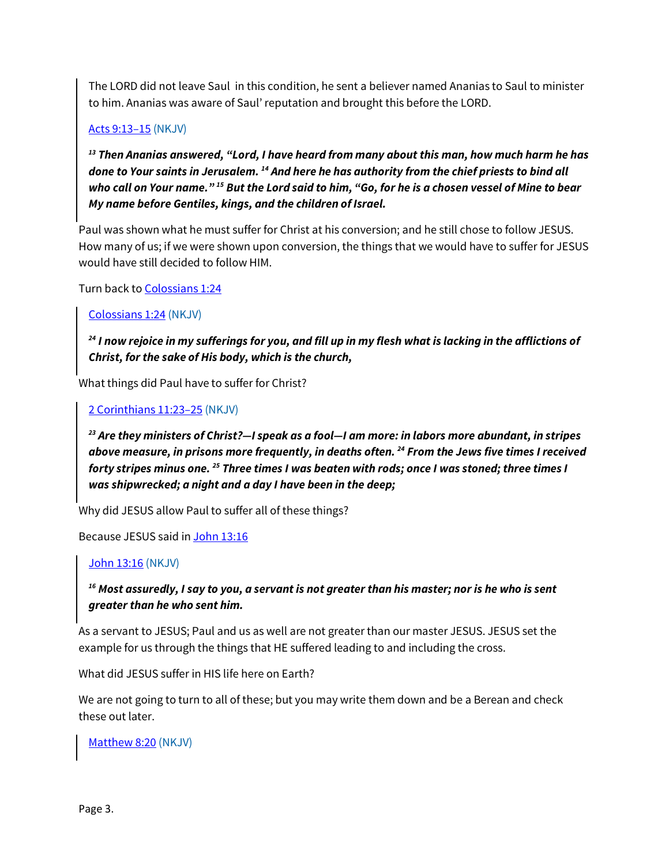The LORD did not leave Saul in this condition, he sent a believer named Ananias to Saul to minister to him. Ananias was aware of Saul' reputation and brought this before the LORD.

### Acts 9:13–15 (NKJV)

*<sup>13</sup> Then Ananias answered, "Lord, I have heard from many about this man, how much harm he has done to Your saints in Jerusalem. 14 And here he has authority from the chief priests to bind all who call on Your name." 15 But the Lord said to him, "Go, for he is a chosen vessel of Mine to bear My name before Gentiles, kings, and the children of Israel.*

Paul was shown what he must suffer for Christ at his conversion; and he still chose to follow JESUS. How many of us; if we were shown upon conversion, the things that we would have to suffer for JESUS would have still decided to follow HIM.

Turn back to Colossians 1:24

Colossians 1:24 (NKJV)

*<sup>24</sup> I now rejoice in my sufferings for you, and fill up in my flesh what is lacking in the afflictions of Christ, for the sake of His body, which is the church,*

What things did Paul have to suffer for Christ?

2 Corinthians 11:23–25 (NKJV)

*<sup>23</sup> Are they ministers of Christ?—I speak as a fool—I am more: in labors more abundant, in stripes above measure, in prisons more frequently, in deaths often. 24 From the Jews five times I received forty stripes minus one. 25 Three times I was beaten with rods; once I was stoned; three times I was shipwrecked; a night and a day I have been in the deep;*

Why did JESUS allow Paul to suffer all of these things?

Because JESUS said in John 13:16

## John 13:16 (NKJV)

# *<sup>16</sup> Most assuredly, I say to you, a servant is not greater than his master; nor is he who is sent greater than he who sent him.*

As a servant to JESUS; Paul and us as well are not greater than our master JESUS. JESUS set the example for us through the things that HE suffered leading to and including the cross.

What did JESUS suffer in HIS life here on Earth?

We are not going to turn to all of these; but you may write them down and be a Berean and check these out later.

Matthew 8:20 (NKJV)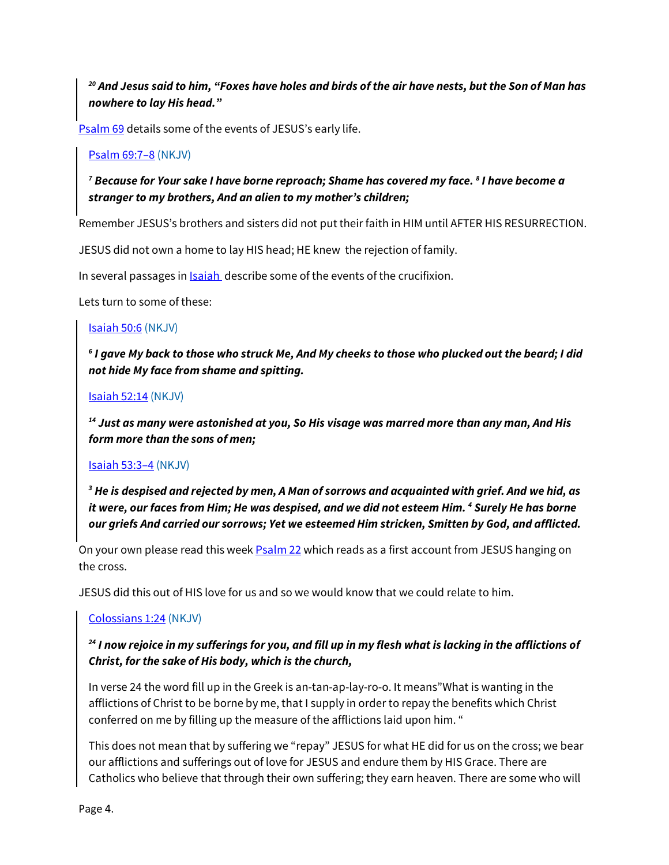*<sup>20</sup> And Jesus said to him, "Foxes have holes and birds of the air have nests, but the Son of Man has nowhere to lay His head."*

Psalm 69 details some of the events of JESUS's early life.

#### Psalm 69:7–8 (NKJV)

*<sup>7</sup> Because for Your sake I have borne reproach; Shame has covered my face. 8 I have become a stranger to my brothers, And an alien to my mother's children;*

Remember JESUS's brothers and sisters did not put their faith in HIM until AFTER HIS RESURRECTION.

JESUS did not own a home to lay HIS head; HE knew the rejection of family.

In several passages in **Isaiah** describe some of the events of the crucifixion.

Lets turn to some of these:

#### Isaiah 50:6 (NKJV)

*<sup>6</sup> I gave My back to those who struck Me, And My cheeks to those who plucked out the beard; I did not hide My face from shame and spitting.*

#### Isaiah 52:14 (NKJV)

*<sup>14</sup> Just as many were astonished at you, So His visage was marred more than any man, And His form more than the sons of men;*

#### Isaiah 53:3–4 (NKJV)

*<sup>3</sup> He is despised and rejected by men, A Man of sorrows and acquainted with grief. And we hid, as it were, our faces from Him; He was despised, and we did not esteem Him. 4 Surely He has borne our griefs And carried our sorrows; Yet we esteemed Him stricken, Smitten by God, and afflicted.*

On your own please read this week **Psalm 22** which reads as a first account from JESUS hanging on the cross.

JESUS did this out of HIS love for us and so we would know that we could relate to him.

#### Colossians 1:24 (NKJV)

## *<sup>24</sup> I now rejoice in my sufferings for you, and fill up in my flesh what is lacking in the afflictions of Christ, for the sake of His body, which is the church,*

In verse 24 the word fill up in the Greek is an-tan-ap-lay-ro-o. It means"What is wanting in the afflictions of Christ to be borne by me, that I supply in order to repay the benefits which Christ conferred on me by filling up the measure of the afflictions laid upon him. "

This does not mean that by suffering we "repay" JESUS for what HE did for us on the cross; we bear our afflictions and sufferings out of love for JESUS and endure them by HIS Grace. There are Catholics who believe that through their own suffering; they earn heaven. There are some who will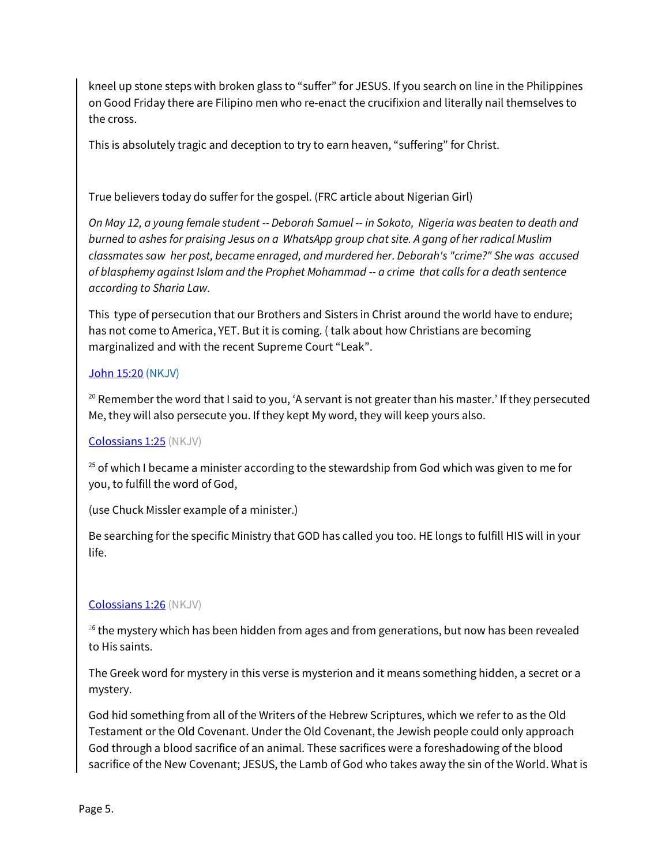kneel up stone steps with broken glass to "suffer" for JESUS. If you search on line in the Philippines on Good Friday there are Filipino men who re-enact the crucifixion and literally nail themselves to the cross.

This is absolutely tragic and deception to try to earn heaven, "suffering" for Christ.

True believers today do suffer for the gospel. (FRC article about Nigerian Girl)

*On May 12, a young female student -- Deborah Samuel -- in Sokoto, Nigeria was beaten to death and burned to ashes for praising Jesus on a WhatsApp group chat site. A gang of her radical Muslim classmates saw her post, became enraged, and murdered her. Deborah's "crime?" She was accused of blasphemy against Islam and the Prophet Mohammad -- a crime that calls for a death sentence according to Sharia Law.*

This type of persecution that our Brothers and Sisters in Christ around the world have to endure; has not come to America, YET. But it is coming. ( talk about how Christians are becoming marginalized and with the recent Supreme Court "Leak".

#### John 15:20 (NKJV)

<sup>20</sup> Remember the word that I said to you, 'A servant is not greater than his master.' If they persecuted Me, they will also persecute you. If they kept My word, they will keep yours also.

#### Colossians 1:25 (NKJV)

 $25$  of which I became a minister according to the stewardship from God which was given to me for you, to fulfill the word of God,

(use Chuck Missler example of a minister.)

Be searching for the specific Ministry that GOD has called you too. HE longs to fulfill HIS will in your life.

#### Colossians 1:26 (NKJV)

<sup>26</sup> the mystery which has been hidden from ages and from generations, but now has been revealed to His saints.

The Greek word for mystery in this verse is mysterion and it means something hidden, a secret or a mystery.

God hid something from all of the Writers of the Hebrew Scriptures, which we refer to as the Old Testament or the Old Covenant. Under the Old Covenant, the Jewish people could only approach God through a blood sacrifice of an animal. These sacrifices were a foreshadowing of the blood sacrifice of the New Covenant; JESUS, the Lamb of God who takes away the sin of the World. What is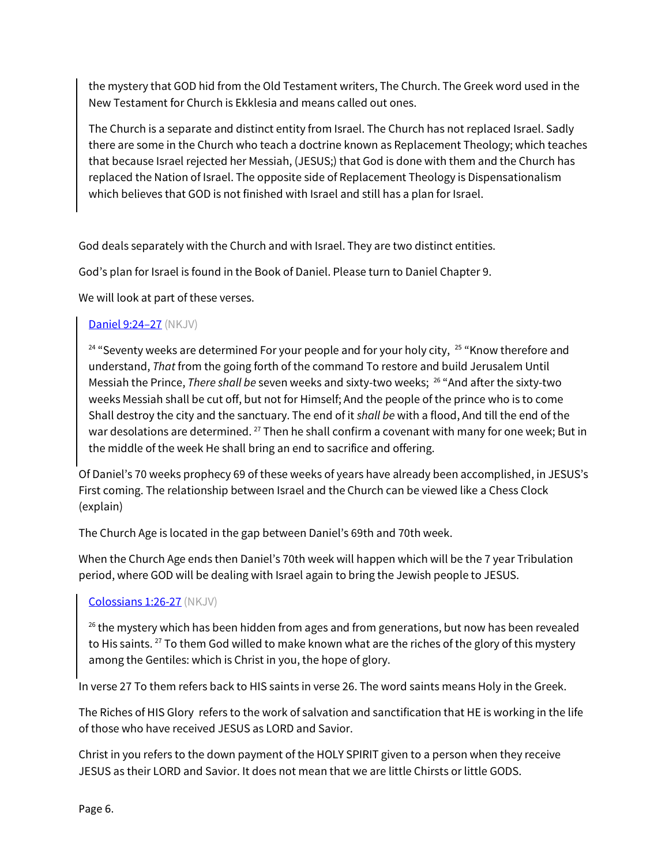the mystery that GOD hid from the Old Testament writers, The Church. The Greek word used in the New Testament for Church is Ekklesia and means called out ones.

The Church is a separate and distinct entity from Israel. The Church has not replaced Israel. Sadly there are some in the Church who teach a doctrine known as Replacement Theology; which teaches that because Israel rejected her Messiah, (JESUS;) that God is done with them and the Church has replaced the Nation of Israel. The opposite side of Replacement Theology is Dispensationalism which believes that GOD is not finished with Israel and still has a plan for Israel.

God deals separately with the Church and with Israel. They are two distinct entities.

God's plan for Israel is found in the Book of Daniel. Please turn to Daniel Chapter 9.

We will look at part of these verses.

# Daniel 9:24-27 (NKJV)

 $24$  "Seventy weeks are determined For your people and for your holy city,  $25$  "Know therefore and understand, *That* from the going forth of the command To restore and build Jerusalem Until Messiah the Prince, *There shall be* seven weeks and sixty-two weeks; 26 "And after the sixty-two weeks Messiah shall be cut off, but not for Himself; And the people of the prince who is to come Shall destroy the city and the sanctuary. The end of it *shall be* with a flood, And till the end of the war desolations are determined. <sup>27</sup> Then he shall confirm a covenant with many for one week; But in the middle of the week He shall bring an end to sacrifice and offering.

Of Daniel's 70 weeks prophecy 69 of these weeks of years have already been accomplished, in JESUS's First coming. The relationship between Israel and the Church can be viewed like a Chess Clock (explain)

The Church Age is located in the gap between Daniel's 69th and 70th week.

When the Church Age ends then Daniel's 70th week will happen which will be the 7 year Tribulation period, where GOD will be dealing with Israel again to bring the Jewish people to JESUS.

## Colossians 1:26-27 (NKJV)

 $26$  the mystery which has been hidden from ages and from generations, but now has been revealed to His saints. <sup>27</sup> To them God willed to make known what are the riches of the glory of this mystery among the Gentiles: which is Christ in you, the hope of glory.

In verse 27 To them refers back to HIS saints in verse 26. The word saints means Holy in the Greek.

The Riches of HIS Glory refers to the work of salvation and sanctification that HE is working in the life of those who have received JESUS as LORD and Savior.

Christ in you refers to the down payment of the HOLY SPIRIT given to a person when they receive JESUS as their LORD and Savior. It does not mean that we are little Chirsts or little GODS.